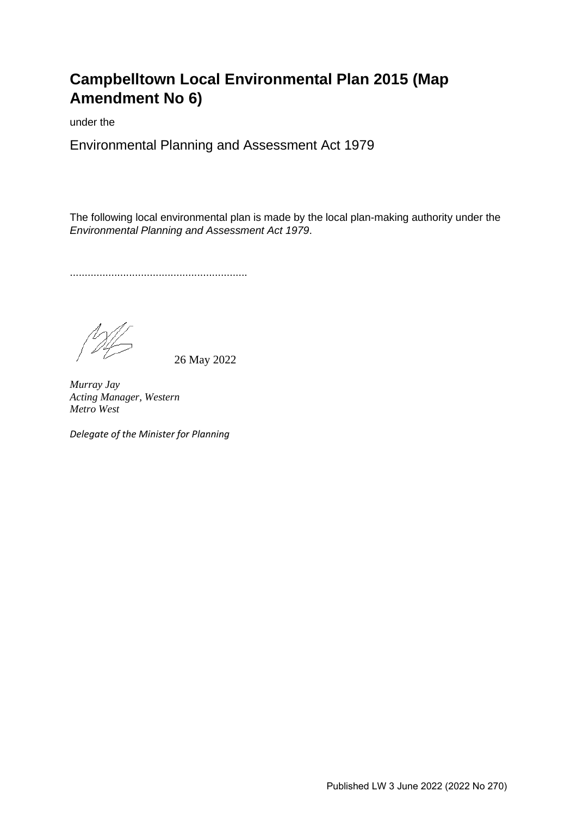# **Campbelltown Local Environmental Plan 2015 (Map Amendment No 6)**

under the

Environmental Planning and Assessment Act 1979

The following local environmental plan is made by the local plan-making authority under the *Environmental Planning and Assessment Act 1979*.

............................................................

26 May 2022

*Murray Jay Acting Manager, Western Metro West* 

*Delegate of the Minister for Planning*